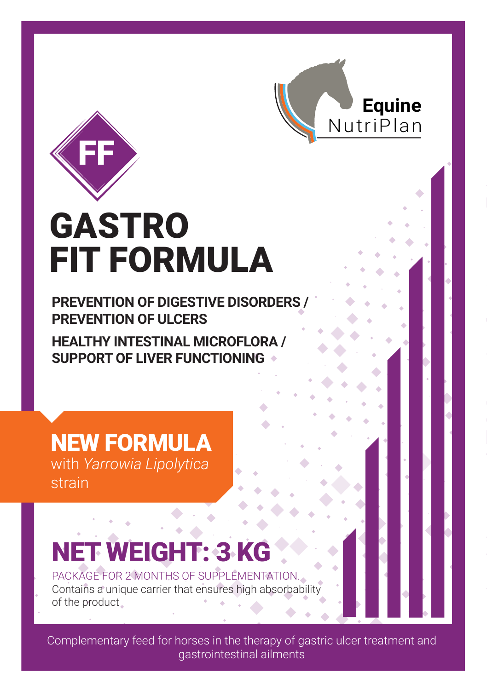



# GASTRO FIT FORMULA

**PREVENTION OF DIGESTIVE DISORDERS / PREVENTION OF ULCERS** 

**HEALTHY INTESTINAL MICROFLORA / SUPPORT OF LIVER FUNCTIONING**

NEW FORMULA with *Yarrowia Lipolytica*  strain

## NET WEIGHT: 3 KG

PACKAGE FOR 2 MONTHS OF SUPPLEMENTATION. Contains a unique carrier that ensures high absorbability of the product

Complementary feed for horses in the therapy of gastric ulcer treatment and gastrointestinal ailments